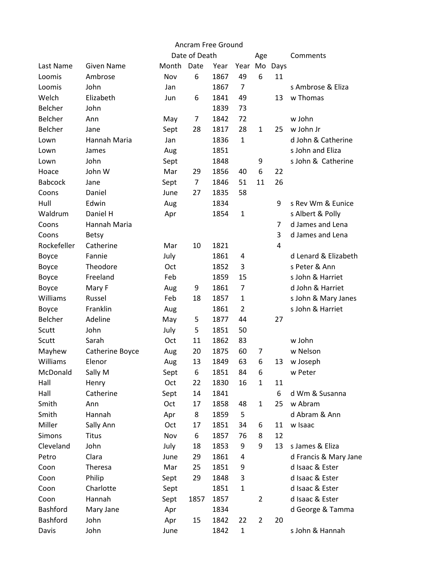| Ancram Free Ground |                   |       |               |      |                |                |                |                       |  |  |  |
|--------------------|-------------------|-------|---------------|------|----------------|----------------|----------------|-----------------------|--|--|--|
|                    |                   |       | Date of Death |      |                | Age            |                | Comments              |  |  |  |
| Last Name          | <b>Given Name</b> | Month | Date          | Year | Year Mo Days   |                |                |                       |  |  |  |
| Loomis             | Ambrose           | Nov   | 6             | 1867 | 49             | 6              | 11             |                       |  |  |  |
| Loomis             | John              | Jan   |               | 1867 | $\overline{7}$ |                |                | s Ambrose & Eliza     |  |  |  |
| Welch              | Elizabeth         | Jun   | 6             | 1841 | 49             |                | 13             | w Thomas              |  |  |  |
| <b>Belcher</b>     | John              |       |               | 1839 | 73             |                |                |                       |  |  |  |
| Belcher            | Ann               | May   | 7             | 1842 | 72             |                |                | w John                |  |  |  |
| <b>Belcher</b>     | Jane              | Sept  | 28            | 1817 | 28             | 1              | 25             | w John Jr             |  |  |  |
| Lown               | Hannah Maria      | Jan   |               | 1836 | $\mathbf{1}$   |                |                | d John & Catherine    |  |  |  |
| Lown               | James             | Aug   |               | 1851 |                |                |                | s John and Eliza      |  |  |  |
| Lown               | John              | Sept  |               | 1848 |                | 9              |                | s John & Catherine    |  |  |  |
| Hoace              | John W            | Mar   | 29            | 1856 | 40             | 6              | 22             |                       |  |  |  |
| <b>Babcock</b>     | Jane              | Sept  | 7             | 1846 | 51             | 11             | 26             |                       |  |  |  |
| Coons              | Daniel            | June  | 27            | 1835 | 58             |                |                |                       |  |  |  |
| Hull               | Edwin             | Aug   |               | 1834 |                |                | 9              | s Rev Wm & Eunice     |  |  |  |
| Waldrum            | Daniel H          | Apr   |               | 1854 | $\mathbf{1}$   |                |                | s Albert & Polly      |  |  |  |
| Coons              | Hannah Maria      |       |               |      |                |                | $\overline{7}$ | d James and Lena      |  |  |  |
| Coons              | <b>Betsy</b>      |       |               |      |                |                | 3              | d James and Lena      |  |  |  |
| Rockefeller        | Catherine         | Mar   | 10            | 1821 |                |                | 4              |                       |  |  |  |
| Boyce              | Fannie            | July  |               | 1861 | 4              |                |                | d Lenard & Elizabeth  |  |  |  |
| Boyce              | Theodore          | Oct   |               | 1852 | 3              |                |                | s Peter & Ann         |  |  |  |
| Boyce              | Freeland          | Feb   |               | 1859 | 15             |                |                | s John & Harriet      |  |  |  |
| Boyce              | Mary F            | Aug   | 9             | 1861 | $\overline{7}$ |                |                | d John & Harriet      |  |  |  |
| Williams           | Russel            | Feb   | 18            | 1857 | $\mathbf{1}$   |                |                | s John & Mary Janes   |  |  |  |
| Boyce              | Franklin          | Aug   |               | 1861 | $\overline{2}$ |                |                | s John & Harriet      |  |  |  |
| <b>Belcher</b>     | Adeline           | May   | 5             | 1877 | 44             |                | 27             |                       |  |  |  |
| Scutt              | John              | July  | 5             | 1851 | 50             |                |                |                       |  |  |  |
| Scutt              | Sarah             | Oct   | 11            | 1862 | 83             |                |                | w John                |  |  |  |
| Mayhew             | Catherine Boyce   | Aug   | 20            | 1875 | 60             | 7              |                | w Nelson              |  |  |  |
| Williams           | Elenor            | Aug   | 13            | 1849 | 63             | 6              | 13             | w Joseph              |  |  |  |
| McDonald           | Sally M           | Sept  | 6             | 1851 | 84             | 6              |                | w Peter               |  |  |  |
| Hall               | Henry             | Oct   | 22            | 1830 | 16             | $\mathbf{1}$   | 11             |                       |  |  |  |
| Hall               | Catherine         | Sept  | 14            | 1841 |                |                | 6              | d Wm & Susanna        |  |  |  |
| Smith              | Ann               | Oct   | 17            | 1858 | 48             | $\mathbf{1}$   | 25             | w Abram               |  |  |  |
| Smith              | Hannah            | Apr   | 8             | 1859 | 5              |                |                | d Abram & Ann         |  |  |  |
| Miller             | Sally Ann         | Oct   | 17            | 1851 | 34             | 6              | 11             | w Isaac               |  |  |  |
| Simons             | <b>Titus</b>      | Nov   | 6             | 1857 | 76             | 8              | 12             |                       |  |  |  |
| Cleveland          | John              | July  | 18            | 1853 | 9              | 9              | 13             | s James & Eliza       |  |  |  |
| Petro              | Clara             | June  | 29            | 1861 | 4              |                |                | d Francis & Mary Jane |  |  |  |
| Coon               | Theresa           | Mar   | 25            | 1851 | 9              |                |                | d Isaac & Ester       |  |  |  |
| Coon               | Philip            | Sept  | 29            | 1848 | 3              |                |                | d Isaac & Ester       |  |  |  |
| Coon               | Charlotte         | Sept  |               | 1851 | $\mathbf{1}$   |                |                | d Isaac & Ester       |  |  |  |
| Coon               | Hannah            | Sept  | 1857          | 1857 |                | $\overline{2}$ |                | d Isaac & Ester       |  |  |  |
| Bashford           | Mary Jane         | Apr   |               | 1834 |                |                |                | d George & Tamma      |  |  |  |
| Bashford           | John              | Apr   | 15            | 1842 | 22             | $\overline{2}$ | 20             |                       |  |  |  |
| Davis              | John              | June  |               | 1842 | $\mathbf{1}$   |                |                | s John & Hannah       |  |  |  |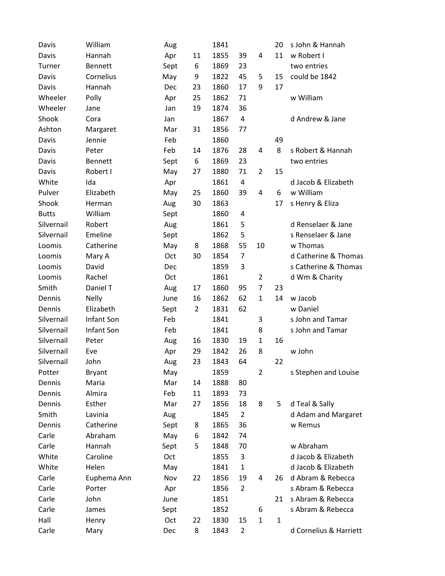| Davis        | William        | Aug  |                | 1841 |                |                | 20           | s John & Hannah        |
|--------------|----------------|------|----------------|------|----------------|----------------|--------------|------------------------|
| Davis        | Hannah         | Apr  | 11             | 1855 | 39             | 4              | 11           | w Robert I             |
| Turner       | <b>Bennett</b> | Sept | 6              | 1869 | 23             |                |              | two entries            |
| Davis        | Cornelius      | May  | 9              | 1822 | 45             | 5              | 15           | could be 1842          |
| Davis        | Hannah         | Dec  | 23             | 1860 | 17             | 9              | 17           |                        |
| Wheeler      | Polly          | Apr  | 25             | 1862 | 71             |                |              | w William              |
| Wheeler      | Jane           | Jan  | 19             | 1874 | 36             |                |              |                        |
| Shook        | Cora           | Jan  |                | 1867 | 4              |                |              | d Andrew & Jane        |
| Ashton       | Margaret       | Mar  | 31             | 1856 | 77             |                |              |                        |
| Davis        | Jennie         | Feb  |                | 1860 |                |                | 49           |                        |
| Davis        | Peter          | Feb  | 14             | 1876 | 28             | 4              | 8            | s Robert & Hannah      |
| Davis        | Bennett        | Sept | 6              | 1869 | 23             |                |              | two entries            |
| Davis        | Robert I       | May  | 27             | 1880 | 71             | $\overline{2}$ | 15           |                        |
| White        | Ida            | Apr  |                | 1861 | 4              |                |              | d Jacob & Elizabeth    |
| Pulver       | Elizabeth      | May  | 25             | 1860 | 39             | 4              | 6            | w William              |
| Shook        | Herman         | Aug  | 30             | 1863 |                |                | 17           | s Henry & Eliza        |
| <b>Butts</b> | William        | Sept |                | 1860 | 4              |                |              |                        |
| Silvernail   | Robert         | Aug  |                | 1861 | 5              |                |              | d Renselaer & Jane     |
| Silvernail   | Emeline        | Sept |                | 1862 | 5              |                |              | s Renselaer & Jane     |
| Loomis       | Catherine      | May  | 8              | 1868 | 55             | 10             |              | w Thomas               |
| Loomis       | Mary A         | Oct  | 30             | 1854 | $\overline{7}$ |                |              | d Catherine & Thomas   |
| Loomis       | David          | Dec  |                | 1859 | 3              |                |              | s Catherine & Thomas   |
| Loomis       | Rachel         | Oct  |                | 1861 |                | $\overline{2}$ |              | d Wm & Charity         |
| Smith        | Daniel T       | Aug  | 17             | 1860 | 95             | 7              | 23           |                        |
| Dennis       | <b>Nelly</b>   | June | 16             | 1862 | 62             | $\mathbf{1}$   | 14           | w Jacob                |
| Dennis       | Elizabeth      | Sept | $\overline{2}$ | 1831 | 62             |                |              | w Daniel               |
| Silvernail   | Infant Son     | Feb  |                | 1841 |                | 3              |              | s John and Tamar       |
| Silvernail   | Infant Son     | Feb  |                | 1841 |                | 8              |              | s John and Tamar       |
| Silvernail   | Peter          | Aug  | 16             | 1830 | 19             | $\mathbf{1}$   | 16           |                        |
| Silvernail   | Eve            | Apr  | 29             | 1842 | 26             | 8              |              | w John                 |
| Silvernail   | John           | Aug  | 23             | 1843 | 64             |                | 22           |                        |
| Potter       | <b>Bryant</b>  | May  |                | 1859 |                | $\overline{2}$ |              | s Stephen and Louise   |
| Dennis       | Maria          | Mar  | 14             | 1888 | 80             |                |              |                        |
| Dennis       | Almira         | Feb  | 11             | 1893 | 73             |                |              |                        |
| Dennis       | Esther         | Mar  | 27             | 1856 | 18             | 8              | 5            | d Teal & Sally         |
| Smith        | Lavinia        | Aug  |                | 1845 | $\overline{2}$ |                |              | d Adam and Margaret    |
| Dennis       | Catherine      | Sept | 8              | 1865 | 36             |                |              | w Remus                |
| Carle        | Abraham        | May  | 6              | 1842 | 74             |                |              |                        |
| Carle        | Hannah         | Sept | 5              | 1848 | 70             |                |              | w Abraham              |
| White        | Caroline       | Oct  |                | 1855 | 3              |                |              | d Jacob & Elizabeth    |
| White        | Helen          | May  |                | 1841 | $\mathbf{1}$   |                |              | d Jacob & Elizabeth    |
| Carle        | Euphema Ann    | Nov  | 22             | 1856 | 19             | 4              | 26           | d Abram & Rebecca      |
| Carle        | Porter         | Apr  |                | 1856 | $\overline{2}$ |                |              | s Abram & Rebecca      |
| Carle        | John           | June |                | 1851 |                |                | 21           | s Abram & Rebecca      |
| Carle        | James          | Sept |                | 1852 |                | 6              |              | s Abram & Rebecca      |
| Hall         | Henry          | Oct  | 22             | 1830 | 15             | $\mathbf{1}$   | $\mathbf{1}$ |                        |
| Carle        | Mary           | Dec  | 8              | 1843 | $\overline{2}$ |                |              | d Cornelius & Harriett |
|              |                |      |                |      |                |                |              |                        |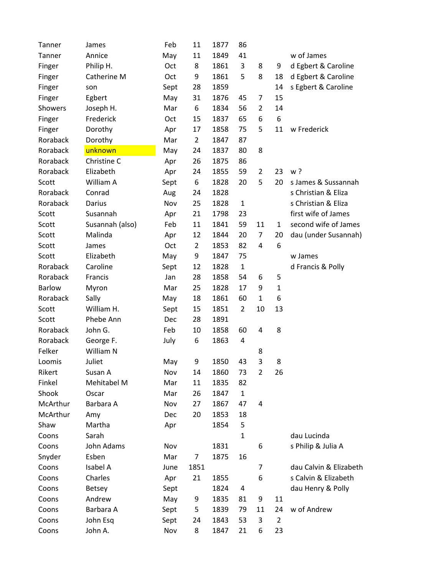| Tanner        | James           | Feb  | 11             | 1877 | 86             |                |                |                        |
|---------------|-----------------|------|----------------|------|----------------|----------------|----------------|------------------------|
| Tanner        | Annice          | May  | 11             | 1849 | 41             |                |                | w of James             |
| Finger        | Philip H.       | Oct  | 8              | 1861 | 3              | 8              | 9              | d Egbert & Caroline    |
| Finger        | Catherine M     | Oct  | 9              | 1861 | 5              | 8              | 18             | d Egbert & Caroline    |
| Finger        | son             | Sept | 28             | 1859 |                |                | 14             | s Egbert & Caroline    |
| Finger        | Egbert          | May  | 31             | 1876 | 45             | 7              | 15             |                        |
| Showers       | Joseph H.       | Mar  | 6              | 1834 | 56             | $\overline{2}$ | 14             |                        |
| Finger        | Frederick       | Oct  | 15             | 1837 | 65             | 6              | 6              |                        |
| Finger        | Dorothy         | Apr  | 17             | 1858 | 75             | 5              | 11             | w Frederick            |
| Roraback      | Dorothy         | Mar  | $\overline{2}$ | 1847 | 87             |                |                |                        |
| Roraback      | unknown         | May  | 24             | 1837 | 80             | 8              |                |                        |
| Roraback      | Christine C     | Apr  | 26             | 1875 | 86             |                |                |                        |
| Roraback      | Elizabeth       | Apr  | 24             | 1855 | 59             | 2              | 23             | w?                     |
| Scott         | William A       | Sept | 6              | 1828 | 20             | 5              | 20             | s James & Sussannah    |
| Roraback      | Conrad          | Aug  | 24             | 1828 |                |                |                | s Christian & Eliza    |
| Roraback      | Darius          | Nov  | 25             | 1828 | $\mathbf{1}$   |                |                | s Christian & Eliza    |
| Scott         | Susannah        | Apr  | 21             | 1798 | 23             |                |                | first wife of James    |
| Scott         | Susannah (also) | Feb  | 11             | 1841 | 59             | 11             | 1              | second wife of James   |
| Scott         | Malinda         | Apr  | 12             | 1844 | 20             | 7              | 20             | dau (under Susannah)   |
| Scott         | James           | Oct  | $\overline{2}$ | 1853 | 82             | 4              | 6              |                        |
| Scott         | Elizabeth       | May  | 9              | 1847 | 75             |                |                | w James                |
| Roraback      | Caroline        | Sept | 12             | 1828 | $\mathbf{1}$   |                |                | d Francis & Polly      |
| Roraback      | Francis         | Jan  | 28             | 1858 | 54             | 6              | 5              |                        |
| <b>Barlow</b> | Myron           | Mar  | 25             | 1828 | 17             | 9              | $\mathbf{1}$   |                        |
| Roraback      | Sally           | May  | 18             | 1861 | 60             | $\mathbf{1}$   | 6              |                        |
| Scott         | William H.      | Sept | 15             | 1851 | $\overline{2}$ | 10             | 13             |                        |
| Scott         | Phebe Ann       | Dec  | 28             | 1891 |                |                |                |                        |
| Roraback      | John G.         | Feb  | 10             | 1858 | 60             | 4              | 8              |                        |
| Roraback      | George F.       | July | 6              | 1863 | 4              |                |                |                        |
| Felker        | William N       |      |                |      |                | 8              |                |                        |
| Loomis        | Juliet          | May  | 9              | 1850 | 43             | 3              | 8              |                        |
| Rikert        | Susan A         | Nov  | 14             | 1860 | 73             | 2              | 26             |                        |
| Finkel        | Mehitabel M     | Mar  | 11             | 1835 | 82             |                |                |                        |
| Shook         | Oscar           | Mar  | 26             | 1847 | $\mathbf{1}$   |                |                |                        |
| McArthur      | Barbara A       | Nov  | 27             | 1867 | 47             | 4              |                |                        |
| McArthur      | Amy             | Dec  | 20             | 1853 | 18             |                |                |                        |
| Shaw          | Martha          | Apr  |                | 1854 | 5              |                |                |                        |
| Coons         | Sarah           |      |                |      | 1              |                |                | dau Lucinda            |
| Coons         | John Adams      | Nov  |                | 1831 |                | 6              |                | s Philip & Julia A     |
| Snyder        | Esben           | Mar  | 7              | 1875 | 16             |                |                |                        |
| Coons         | Isabel A        | June | 1851           |      |                | 7              |                | dau Calvin & Elizabeth |
| Coons         | Charles         | Apr  | 21             | 1855 |                | 6              |                | s Calvin & Elizabeth   |
| Coons         | <b>Betsey</b>   | Sept |                | 1824 | 4              |                |                | dau Henry & Polly      |
| Coons         | Andrew          | May  | 9              | 1835 | 81             | 9              | 11             |                        |
| Coons         | Barbara A       | Sept | 5              | 1839 | 79             | 11             | 24             | w of Andrew            |
| Coons         | John Esq        | Sept | 24             | 1843 | 53             | 3              | $\overline{2}$ |                        |
| Coons         | John A.         | Nov  | 8              | 1847 | 21             | 6              | 23             |                        |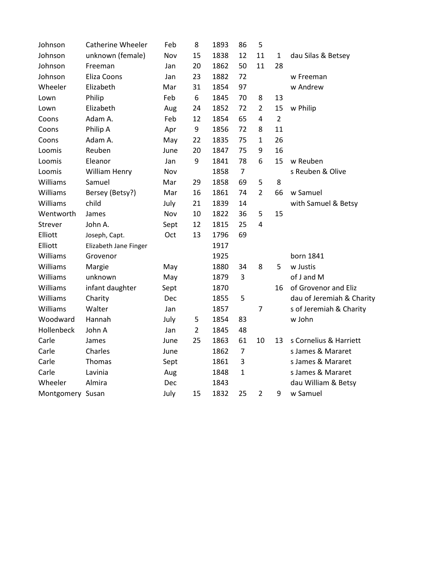| dau Silas & Betsey        |
|---------------------------|
|                           |
|                           |
|                           |
|                           |
|                           |
|                           |
|                           |
|                           |
|                           |
|                           |
| s Reuben & Olive          |
|                           |
|                           |
| with Samuel & Betsy       |
|                           |
|                           |
|                           |
|                           |
|                           |
|                           |
|                           |
| of Grovenor and Eliz      |
| dau of Jeremiah & Charity |
| s of Jeremiah & Charity   |
|                           |
|                           |
| s Cornelius & Harriett    |
| s James & Mararet         |
| s James & Mararet         |
| s James & Mararet         |
| dau William & Betsy       |
|                           |
|                           |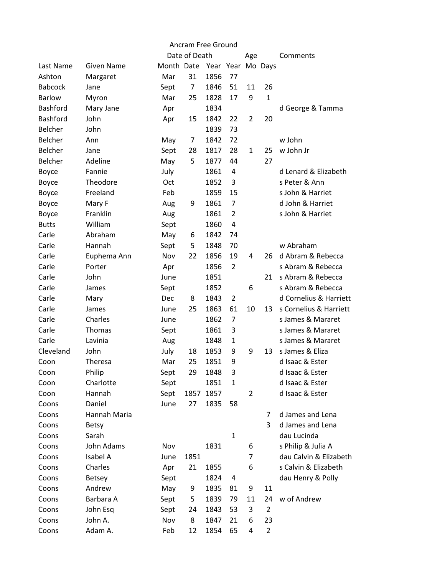| Ancram Free Ground |                   |            |               |                   |                |     |                |                        |  |
|--------------------|-------------------|------------|---------------|-------------------|----------------|-----|----------------|------------------------|--|
|                    |                   |            | Date of Death |                   |                | Age |                | Comments               |  |
| Last Name          | <b>Given Name</b> | Month Date |               | Year Year Mo Days |                |     |                |                        |  |
| Ashton             | Margaret          | Mar        | 31            | 1856              | 77             |     |                |                        |  |
| <b>Babcock</b>     | Jane              | Sept       | 7             | 1846              | 51             | 11  | 26             |                        |  |
| <b>Barlow</b>      | Myron             | Mar        | 25            | 1828              | 17             | 9   | $\mathbf{1}$   |                        |  |
| <b>Bashford</b>    | Mary Jane         | Apr        |               | 1834              |                |     |                | d George & Tamma       |  |
| Bashford           | John              | Apr        | 15            | 1842              | 22             | 2   | 20             |                        |  |
| <b>Belcher</b>     | John              |            |               | 1839              | 73             |     |                |                        |  |
| Belcher            | Ann               | May        | 7             | 1842              | 72             |     |                | w John                 |  |
| <b>Belcher</b>     | Jane              | Sept       | 28            | 1817              | 28             | 1   | 25             | w John Jr              |  |
| Belcher            | Adeline           | May        | 5             | 1877              | 44             |     | 27             |                        |  |
| Boyce              | Fannie            | July       |               | 1861              | 4              |     |                | d Lenard & Elizabeth   |  |
| Boyce              | Theodore          | Oct        |               | 1852              | 3              |     |                | s Peter & Ann          |  |
| Boyce              | Freeland          | Feb        |               | 1859              | 15             |     |                | s John & Harriet       |  |
| Boyce              | Mary F            | Aug        | 9             | 1861              | $\overline{7}$ |     |                | d John & Harriet       |  |
| Boyce              | Franklin          | Aug        |               | 1861              | $\overline{2}$ |     |                | s John & Harriet       |  |
| <b>Butts</b>       | William           | Sept       |               | 1860              | 4              |     |                |                        |  |
| Carle              | Abraham           | May        | 6             | 1842              | 74             |     |                |                        |  |
| Carle              | Hannah            | Sept       | 5             | 1848              | 70             |     |                | w Abraham              |  |
| Carle              | Euphema Ann       | Nov        | 22            | 1856              | 19             | 4   | 26             | d Abram & Rebecca      |  |
| Carle              | Porter            | Apr        |               | 1856              | $\overline{2}$ |     |                | s Abram & Rebecca      |  |
| Carle              | John              | June       |               | 1851              |                |     | 21             | s Abram & Rebecca      |  |
| Carle              | James             | Sept       |               | 1852              |                | 6   |                | s Abram & Rebecca      |  |
| Carle              | Mary              | <b>Dec</b> | 8             | 1843              | 2              |     |                | d Cornelius & Harriett |  |
| Carle              | James             | June       | 25            | 1863              | 61             | 10  | 13             | s Cornelius & Harriett |  |
| Carle              | Charles           | June       |               | 1862              | 7              |     |                | s James & Mararet      |  |
| Carle              | Thomas            | Sept       |               | 1861              | 3              |     |                | s James & Mararet      |  |
| Carle              | Lavinia           | Aug        |               | 1848              | $\mathbf{1}$   |     |                | s James & Mararet      |  |
| Cleveland          | John              | July       | 18            | 1853              | 9              | 9   | 13             | s James & Eliza        |  |
| Coon               | <b>Theresa</b>    | Mar        | 25            | 1851              | 9              |     |                | d Isaac & Ester        |  |
| Coon               | Philip            | Sept       | 29            | 1848              | 3              |     |                | d Isaac & Ester        |  |
| Coon               | Charlotte         | Sept       |               | 1851              | $\mathbf{1}$   |     |                | d Isaac & Ester        |  |
| Coon               | Hannah            | Sept       | 1857          | 1857              |                | 2   |                | d Isaac & Ester        |  |
| Coons              | Daniel            | June       | 27            | 1835              | 58             |     |                |                        |  |
| Coons              | Hannah Maria      |            |               |                   |                |     | 7              | d James and Lena       |  |
| Coons              | <b>Betsy</b>      |            |               |                   |                |     | 3              | d James and Lena       |  |
| Coons              | Sarah             |            |               |                   | $\mathbf{1}$   |     |                | dau Lucinda            |  |
| Coons              | John Adams        | Nov        |               | 1831              |                | 6   |                | s Philip & Julia A     |  |
| Coons              | Isabel A          | June       | 1851          |                   |                | 7   |                | dau Calvin & Elizabeth |  |
| Coons              | Charles           | Apr        | 21            | 1855              |                | 6   |                | s Calvin & Elizabeth   |  |
| Coons              | <b>Betsey</b>     | Sept       |               | 1824              | 4              |     |                | dau Henry & Polly      |  |
| Coons              | Andrew            | May        | 9             | 1835              | 81             | 9   | 11             |                        |  |
| Coons              | Barbara A         | Sept       | 5             | 1839              | 79             | 11  | 24             | w of Andrew            |  |
| Coons              | John Esq          | Sept       | 24            | 1843              | 53             | 3   | $\overline{2}$ |                        |  |
| Coons              | John A.           | Nov        | 8             | 1847              | 21             | 6   | 23             |                        |  |
| Coons              | Adam A.           | Feb        | 12            | 1854              | 65             | 4   | $\overline{2}$ |                        |  |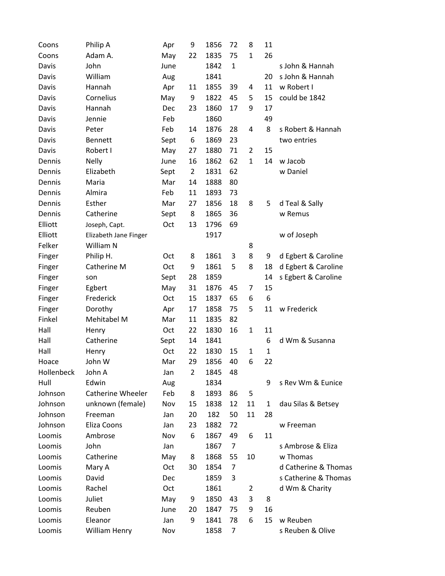| Coons      | Philip A                 | Apr  | 9              | 1856 | 72             | 8            | 11           |                      |
|------------|--------------------------|------|----------------|------|----------------|--------------|--------------|----------------------|
| Coons      | Adam A.                  | May  | 22             | 1835 | 75             | $\mathbf{1}$ | 26           |                      |
| Davis      | John                     | June |                | 1842 | $\mathbf{1}$   |              |              | s John & Hannah      |
| Davis      | William                  | Aug  |                | 1841 |                |              | 20           | s John & Hannah      |
| Davis      | Hannah                   | Apr  | 11             | 1855 | 39             | 4            | 11           | w Robert I           |
| Davis      | Cornelius                | May  | 9              | 1822 | 45             | 5            | 15           | could be 1842        |
| Davis      | Hannah                   | Dec  | 23             | 1860 | 17             | 9            | 17           |                      |
| Davis      | Jennie                   | Feb  |                | 1860 |                |              | 49           |                      |
| Davis      | Peter                    | Feb  | 14             | 1876 | 28             | 4            | 8            | s Robert & Hannah    |
| Davis      | <b>Bennett</b>           | Sept | 6              | 1869 | 23             |              |              | two entries          |
| Davis      | Robert I                 | May  | 27             | 1880 | 71             | 2            | 15           |                      |
| Dennis     | <b>Nelly</b>             | June | 16             | 1862 | 62             | $\mathbf{1}$ | 14           | w Jacob              |
| Dennis     | Elizabeth                | Sept | $\overline{2}$ | 1831 | 62             |              |              | w Daniel             |
| Dennis     | Maria                    | Mar  | 14             | 1888 | 80             |              |              |                      |
| Dennis     | Almira                   | Feb  | 11             | 1893 | 73             |              |              |                      |
| Dennis     | Esther                   | Mar  | 27             | 1856 | 18             | 8            | 5            | d Teal & Sally       |
| Dennis     | Catherine                | Sept | 8              | 1865 | 36             |              |              | w Remus              |
| Elliott    | Joseph, Capt.            | Oct  | 13             | 1796 | 69             |              |              |                      |
| Elliott    | Elizabeth Jane Finger    |      |                | 1917 |                |              |              | w of Joseph          |
| Felker     | William N                |      |                |      |                | 8            |              |                      |
| Finger     | Philip H.                | Oct  | 8              | 1861 | 3              | 8            | 9            | d Egbert & Caroline  |
| Finger     | Catherine M              | Oct  | 9              | 1861 | 5              | 8            | 18           | d Egbert & Caroline  |
| Finger     | son                      | Sept | 28             | 1859 |                |              | 14           | s Egbert & Caroline  |
| Finger     | Egbert                   | May  | 31             | 1876 | 45             | 7            | 15           |                      |
| Finger     | Frederick                | Oct  | 15             | 1837 | 65             | 6            | 6            |                      |
| Finger     | Dorothy                  | Apr  | 17             | 1858 | 75             | 5            | 11           | w Frederick          |
| Finkel     | Mehitabel M              | Mar  | 11             | 1835 | 82             |              |              |                      |
| Hall       | Henry                    | Oct  | 22             | 1830 | 16             | $\mathbf{1}$ | 11           |                      |
| Hall       | Catherine                | Sept | 14             | 1841 |                |              | 6            | d Wm & Susanna       |
| Hall       | Henry                    | Oct  | 22             | 1830 | 15             | 1            | $\mathbf{1}$ |                      |
| Hoace      | John W                   | Mar  | 29             | 1856 | 40             | 6            | 22           |                      |
| Hollenbeck | John A                   | Jan  | 2              | 1845 | 48             |              |              |                      |
| Hull       | Edwin                    | Aug  |                | 1834 |                |              | 9            | s Rev Wm & Eunice    |
| Johnson    | <b>Catherine Wheeler</b> | Feb  | 8              | 1893 | 86             | 5            |              |                      |
| Johnson    | unknown (female)         | Nov  | 15             | 1838 | 12             | 11           | 1            | dau Silas & Betsey   |
| Johnson    | Freeman                  | Jan  | 20             | 182  | 50             | 11           | 28           |                      |
| Johnson    | Eliza Coons              | Jan  | 23             | 1882 | 72             |              |              | w Freeman            |
| Loomis     | Ambrose                  | Nov  | 6              | 1867 | 49             | 6            | 11           |                      |
| Loomis     | John                     | Jan  |                | 1867 | 7              |              |              | s Ambrose & Eliza    |
| Loomis     | Catherine                | May  | 8              | 1868 | 55             | 10           |              | w Thomas             |
| Loomis     | Mary A                   | Oct  | 30             | 1854 | 7              |              |              | d Catherine & Thomas |
| Loomis     | David                    | Dec  |                | 1859 | 3              |              |              | s Catherine & Thomas |
| Loomis     | Rachel                   | Oct  |                | 1861 |                | 2            |              | d Wm & Charity       |
| Loomis     | Juliet                   | May  | 9              | 1850 | 43             | 3            | 8            |                      |
| Loomis     | Reuben                   | June | 20             | 1847 | 75             | 9            | 16           |                      |
| Loomis     | Eleanor                  | Jan  | 9              | 1841 | 78             | 6            | 15           | w Reuben             |
| Loomis     | William Henry            | Nov  |                | 1858 | $\overline{7}$ |              |              | s Reuben & Olive     |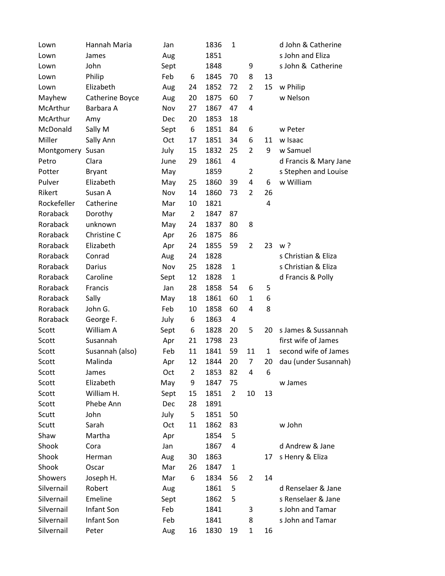| Lown        | Hannah Maria    | Jan  |                | 1836 | $\mathbf{1}$   |                |                | d John & Catherine    |
|-------------|-----------------|------|----------------|------|----------------|----------------|----------------|-----------------------|
| Lown        | James           | Aug  |                | 1851 |                |                |                | s John and Eliza      |
| Lown        | John            | Sept |                | 1848 |                | 9              |                | s John & Catherine    |
| Lown        | Philip          | Feb  | 6              | 1845 | 70             | 8              | 13             |                       |
| Lown        | Elizabeth       | Aug  | 24             | 1852 | 72             | $\overline{2}$ | 15             | w Philip              |
| Mayhew      | Catherine Boyce | Aug  | 20             | 1875 | 60             | $\overline{7}$ |                | w Nelson              |
| McArthur    | Barbara A       | Nov  | 27             | 1867 | 47             | 4              |                |                       |
| McArthur    | Amy             | Dec  | 20             | 1853 | 18             |                |                |                       |
| McDonald    | Sally M         | Sept | 6              | 1851 | 84             | 6              |                | w Peter               |
| Miller      | Sally Ann       | Oct  | 17             | 1851 | 34             | 6              | 11             | w Isaac               |
| Montgomery  | Susan           | July | 15             | 1832 | 25             | $\overline{2}$ | 9              | w Samuel              |
| Petro       | Clara           | June | 29             | 1861 | 4              |                |                | d Francis & Mary Jane |
| Potter      | <b>Bryant</b>   | May  |                | 1859 |                | $\overline{2}$ |                | s Stephen and Louise  |
| Pulver      | Elizabeth       | May  | 25             | 1860 | 39             | 4              | 6              | w William             |
| Rikert      | Susan A         | Nov  | 14             | 1860 | 73             | $\overline{2}$ | 26             |                       |
| Rockefeller | Catherine       | Mar  | 10             | 1821 |                |                | $\overline{4}$ |                       |
| Roraback    | Dorothy         | Mar  | $\overline{2}$ | 1847 | 87             |                |                |                       |
| Roraback    | unknown         | May  | 24             | 1837 | 80             | 8              |                |                       |
| Roraback    | Christine C     | Apr  | 26             | 1875 | 86             |                |                |                       |
| Roraback    | Elizabeth       | Apr  | 24             | 1855 | 59             | $\overline{2}$ | 23             | w?                    |
| Roraback    | Conrad          | Aug  | 24             | 1828 |                |                |                | s Christian & Eliza   |
| Roraback    | Darius          | Nov  | 25             | 1828 | $\mathbf{1}$   |                |                | s Christian & Eliza   |
| Roraback    | Caroline        | Sept | 12             | 1828 | 1              |                |                | d Francis & Polly     |
| Roraback    | Francis         | Jan  | 28             | 1858 | 54             | 6              | 5              |                       |
| Roraback    | Sally           | May  | 18             | 1861 | 60             | $\mathbf{1}$   | 6              |                       |
| Roraback    | John G.         | Feb  | 10             | 1858 | 60             | 4              | 8              |                       |
| Roraback    | George F.       | July | 6              | 1863 | 4              |                |                |                       |
| Scott       | William A       | Sept | 6              | 1828 | 20             | 5              | 20             | s James & Sussannah   |
| Scott       | Susannah        | Apr  | 21             | 1798 | 23             |                |                | first wife of James   |
| Scott       | Susannah (also) | Feb  | 11             | 1841 | 59             | 11             | 1              | second wife of James  |
| Scott       | Malinda         | Apr  | 12             | 1844 | 20             | $\overline{7}$ | 20             | dau (under Susannah)  |
| Scott       | James           | Oct  | 2              | 1853 | 82             | 4              | 6              |                       |
| Scott       | Elizabeth       | May  | 9              | 1847 | 75             |                |                | w James               |
| Scott       | William H.      | Sept | 15             | 1851 | $\overline{2}$ | 10             | 13             |                       |
| Scott       | Phebe Ann       | Dec  | 28             | 1891 |                |                |                |                       |
| Scutt       | John            | July | 5              | 1851 | 50             |                |                |                       |
| Scutt       | Sarah           | Oct  | 11             | 1862 | 83             |                |                | w John                |
| Shaw        | Martha          | Apr  |                | 1854 | 5              |                |                |                       |
| Shook       | Cora            | Jan  |                | 1867 | 4              |                |                | d Andrew & Jane       |
| Shook       | Herman          | Aug  | 30             | 1863 |                |                | 17             | s Henry & Eliza       |
| Shook       | Oscar           | Mar  | 26             | 1847 | $\mathbf{1}$   |                |                |                       |
| Showers     | Joseph H.       | Mar  | 6              | 1834 | 56             | 2              | 14             |                       |
| Silvernail  | Robert          | Aug  |                | 1861 | 5              |                |                | d Renselaer & Jane    |
| Silvernail  | Emeline         | Sept |                | 1862 | 5              |                |                | s Renselaer & Jane    |
| Silvernail  | Infant Son      | Feb  |                | 1841 |                | 3              |                | s John and Tamar      |
| Silvernail  | Infant Son      | Feb  |                | 1841 |                | 8              |                | s John and Tamar      |
| Silvernail  | Peter           | Aug  | 16             | 1830 | 19             | $\mathbf{1}$   | 16             |                       |